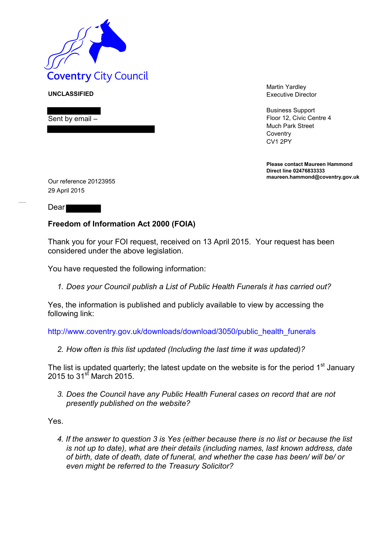

**UNCLASSIFIED**

Sent by email –

Martin Yardley Executive Director

Business Support Floor 12, Civic Centre 4 Much Park Street **Coventry** CV1 2PY

**Please contact Maureen Hammond Direct line 02476833333 maureen.hammond@coventry.gov.uk**

Our reference 20123955 29 April 2015

Dear

## **Freedom of Information Act 2000 (FOIA)**

Thank you for your FOI request, received on 13 April 2015. Your request has been considered under the above legislation.

You have requested the following information:

*1. Does your Council publish a List of Public Health Funerals it has carried out?* 

Yes, the information is published and publicly available to view by accessing the following link:

http://www.coventry.gov.uk/downloads/download/3050/public\_health\_funerals

*2. How often is this list updated (Including the last time it was updated)?* 

The list is updated quarterly; the latest update on the website is for the period  $1<sup>st</sup>$  January 2015 to  $31^{st}$  March 2015.

*3. Does the Council have any Public Health Funeral cases on record that are not presently published on the website?* 

Yes.

*4. If the answer to question 3 is Yes (either because there is no list or because the list is not up to date), what are their details (including names, last known address, date of birth, date of death, date of funeral, and whether the case has been/ will be/ or even might be referred to the Treasury Solicitor?*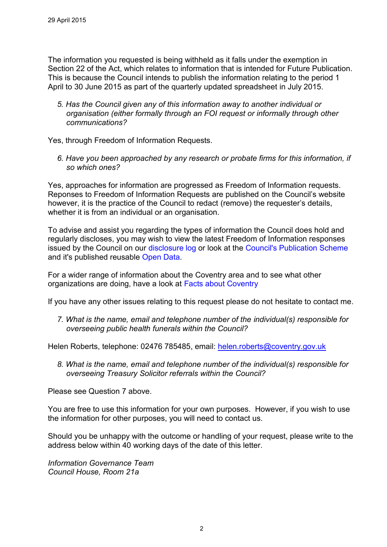The information you requested is being withheld as it falls under the exemption in Section 22 of the Act, which relates to information that is intended for Future Publication. This is because the Council intends to publish the information relating to the period 1 April to 30 June 2015 as part of the quarterly updated spreadsheet in July 2015.

*5. Has the Council given any of this information away to another individual or organisation (either formally through an FOI request or informally through other communications?* 

Yes, through Freedom of Information Requests.

*6. Have you been approached by any research or probate firms for this information, if so which ones?* 

Yes, approaches for information are progressed as Freedom of Information requests. Reponses to Freedom of Information Requests are published on the Council's website however, it is the practice of the Council to redact (remove) the requester's details, whether it is from an individual or an organisation.

To advise and assist you regarding the types of information the Council does hold and regularly discloses, you may wish to view the latest Freedom of Information responses issued by the Council on our disclosure log or look at the Council's Publication Scheme and it's published reusable Open Data.

For a wider range of information about the Coventry area and to see what other organizations are doing, have a look at Facts about Coventry

If you have any other issues relating to this request please do not hesitate to contact me.

*7. What is the name, email and telephone number of the individual(s) responsible for overseeing public health funerals within the Council?* 

Helen Roberts, telephone: 02476 785485, email: [helen.roberts@coventry.gov.uk](mailto:helen.roberts@coventry.gov.uk)

*8. What is the name, email and telephone number of the individual(s) responsible for overseeing Treasury Solicitor referrals within the Council?* 

Please see Question 7 above.

You are free to use this information for your own purposes. However, if you wish to use the information for other purposes, you will need to contact us.

Should you be unhappy with the outcome or handling of your request, please write to the address below within 40 working days of the date of this letter.

*Information Governance Team Council House, Room 21a*